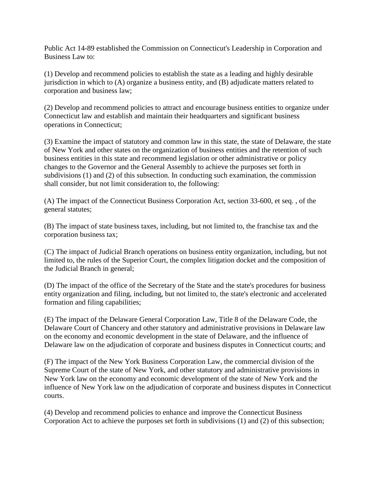Public Act 14-89 established the Commission on Connecticut's Leadership in Corporation and Business Law to:

(1) Develop and recommend policies to establish the state as a leading and highly desirable jurisdiction in which to (A) organize a business entity, and (B) adjudicate matters related to corporation and business law;

(2) Develop and recommend policies to attract and encourage business entities to organize under Connecticut law and establish and maintain their headquarters and significant business operations in Connecticut;

(3) Examine the impact of statutory and common law in this state, the state of Delaware, the state of New York and other states on the organization of business entities and the retention of such business entities in this state and recommend legislation or other administrative or policy changes to the Governor and the General Assembly to achieve the purposes set forth in subdivisions (1) and (2) of this subsection. In conducting such examination, the commission shall consider, but not limit consideration to, the following:

(A) The impact of the Connecticut Business Corporation Act, section 33-600, et seq. , of the general statutes;

(B) The impact of state business taxes, including, but not limited to, the franchise tax and the corporation business tax;

(C) The impact of Judicial Branch operations on business entity organization, including, but not limited to, the rules of the Superior Court, the complex litigation docket and the composition of the Judicial Branch in general;

(D) The impact of the office of the Secretary of the State and the state's procedures for business entity organization and filing, including, but not limited to, the state's electronic and accelerated formation and filing capabilities;

(E) The impact of the Delaware General Corporation Law, Title 8 of the Delaware Code, the Delaware Court of Chancery and other statutory and administrative provisions in Delaware law on the economy and economic development in the state of Delaware, and the influence of Delaware law on the adjudication of corporate and business disputes in Connecticut courts; and

(F) The impact of the New York Business Corporation Law, the commercial division of the Supreme Court of the state of New York, and other statutory and administrative provisions in New York law on the economy and economic development of the state of New York and the influence of New York law on the adjudication of corporate and business disputes in Connecticut courts.

(4) Develop and recommend policies to enhance and improve the Connecticut Business Corporation Act to achieve the purposes set forth in subdivisions (1) and (2) of this subsection;